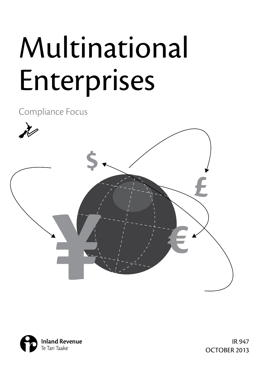# Multinational Enterprises

Compliance Focus





IR 947 OCTOBER 2013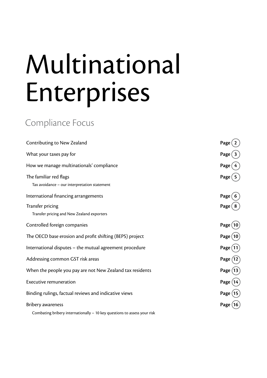# Multinational Enterprises

## Compliance Focus

| Contributing to New Zealand                                                                                                                                                                                                                                                                                 | Page         |
|-------------------------------------------------------------------------------------------------------------------------------------------------------------------------------------------------------------------------------------------------------------------------------------------------------------|--------------|
| What your taxes pay for                                                                                                                                                                                                                                                                                     | Page         |
| How we manage multinationals' compliance                                                                                                                                                                                                                                                                    | Page         |
| The familiar red flags<br>Tax avoidance - our interpretation statement                                                                                                                                                                                                                                      | Page         |
| International financing arrangements                                                                                                                                                                                                                                                                        | Page         |
| Transfer pricing<br>Transfer pricing and New Zealand exporters                                                                                                                                                                                                                                              | Page         |
| Controlled foreign companies                                                                                                                                                                                                                                                                                | Page (       |
| The OECD base erosion and profit shifting (BEPS) project                                                                                                                                                                                                                                                    | Page (       |
| International disputes - the mutual agreement procedure                                                                                                                                                                                                                                                     | Page (       |
| Addressing common GST risk areas                                                                                                                                                                                                                                                                            | Page         |
| When the people you pay are not New Zealand tax residents                                                                                                                                                                                                                                                   | Page (<br>13 |
| <b>Executive remuneration</b>                                                                                                                                                                                                                                                                               | Page (14     |
| Binding rulings, factual reviews and indicative views                                                                                                                                                                                                                                                       | Page         |
| <b>Bribery awareness</b>                                                                                                                                                                                                                                                                                    |              |
| $\mathbf{1}$ , $\mathbf{1}$ , $\mathbf{1}$ , $\mathbf{1}$ , $\mathbf{1}$ , $\mathbf{1}$ , $\mathbf{1}$ , $\mathbf{1}$ , $\mathbf{1}$ , $\mathbf{1}$ , $\mathbf{1}$ , $\mathbf{1}$ , $\mathbf{1}$ , $\mathbf{1}$ , $\mathbf{1}$ , $\mathbf{1}$ , $\mathbf{1}$ , $\mathbf{1}$ , $\mathbf{1}$ , $\mathbf{1}$ , |              |

Combating bribery internationally – 10 key questions to assess your risk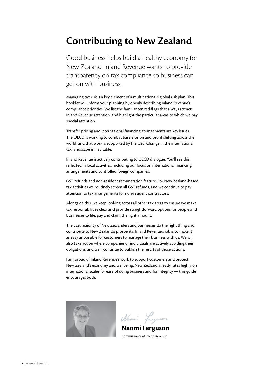## **Contributing to New Zealand**

Good business helps build a healthy economy for New Zealand. Inland Revenue wants to provide transparency on tax compliance so business can get on with business.

Managing tax risk is a key element of a multinational's global risk plan. This booklet will inform your planning by openly describing Inland Revenue's compliance priorities. We list the familiar ten red flags that always attract Inland Revenue attention, and highlight the particular areas to which we pay special attention.

Transfer pricing and international financing arrangements are key issues. The OECD is working to combat base erosion and profit shifting across the world, and that work is supported by the G20. Change in the international tax landscape is inevitable.

Inland Revenue is actively contributing to OECD dialogue. You'll see this reflected in local activities, including our focus on international financing arrangements and controlled foreign companies.

GST refunds and non-resident remuneration feature. For New Zealand-based tax activities we routinely screen all GST refunds, and we continue to pay attention to tax arrangements for non-resident contractors.

Alongside this, we keep looking across all other tax areas to ensure we make tax responsibilities clear and provide straightforward options for people and businesses to file, pay and claim the right amount.

The vast majority of New Zealanders and businesses do the right thing and contribute to New Zealand's prosperity. Inland Revenue's job is to make it as easy as possible for customers to manage their business with us. We will also take action where companies or individuals are actively avoiding their obligations, and we'll continue to publish the results of those actions.

I am proud of Inland Revenue's work to support customers and protect New Zealand's economy and wellbeing. New Zealand already rates highly on international scales for ease of doing business and for integrity — this guide encourages both.



Nami Lugason

**Naomi Ferguson** Commissioner of Inland Revenue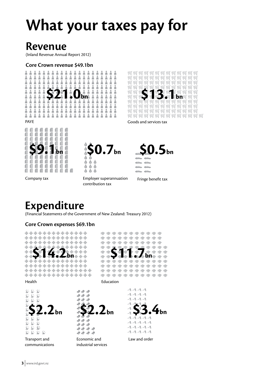## **What your taxes pay for**

## **Revenue**

(Inland Revenue Annual Report 2012)

#### **Core Crown revenue \$49.1bn**





Goods and services tax



**\$0.7bn**  $\overline{6}$   $\overline{6}$   $\overline{6}$ ÒÒ. À

Company tax

Employer superannuation contribution tax



Fringe benefit tax

## **Expenditure**

(Financial Statements of the Government of New Zealand: Treasury 2012)

 $\overline{6}$   $\overline{6}$  $\overline{\mathbf{A}}$ 

#### **Core Crown expenses \$69.1bn**

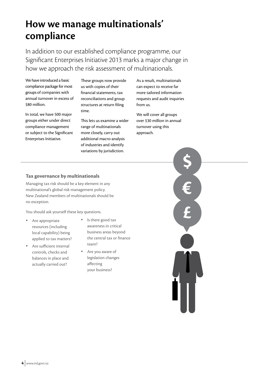## **How we manage multinationals' compliance**

In addition to our established compliance programme, our Significant Enterprises Initiative 2013 marks a major change in how we approach the risk assessment of multinationals.

We have introduced a basic compliance package for most groups of companies with annual turnover in excess of \$80 million.

In total, we have 500 major groups either under direct compliance management or subject to the Significant Enterprises Initiative.

These groups now provide us with copies of their financial statements, tax reconciliations and group structures at return filing time.

This lets us examine a wider range of multinationals more closely, carry out additional macro-analysis of industries and identify variations by jurisdiction.

As a result, multinationals can expect to receive far more tailored information requests and audit inquiries from us.

We will cover all groups over \$30 million in annual turnover using this approach.

#### **Tax governance by multinationals**

Managing tax risk should be a key element in any multinational's global risk management policy. New Zealand members of multinationals should be no exception.

You should ask yourself these key questions.

- Are appropriate resources (including local capability) being applied to tax matters?
- Are sufficient internal controls, checks and balances in place and actually carried out?
- • Is there good tax awareness in critical business areas beyond the central tax or finance team?
- Are you aware of legislation changes affecting your business?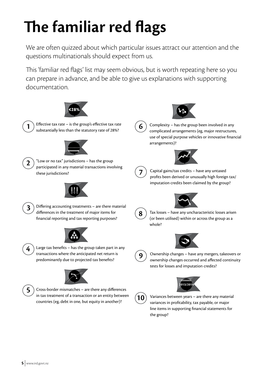## **The familiar red flags**

We are often quizzed about which particular issues attract our attention and the questions multinationals should expect from us.

This 'familiar red flags' list may seem obvious, but is worth repeating here so you can prepare in advance, and be able to give us explanations with supporting documentation.

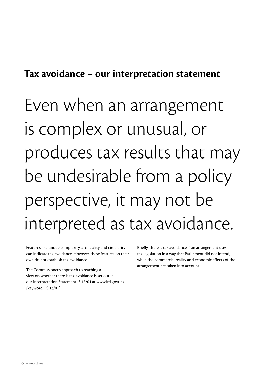### **Tax avoidance – our interpretation statement**

Even when an arrangement is complex or unusual, or produces tax results that may be undesirable from a policy perspective, it may not be interpreted as tax avoidance.

Features like undue complexity, artificiality and circularity can indicate tax avoidance. However, these features on their own do not establish tax avoidance.

The Commissioner's approach to reaching a view on whether there is tax avoidance is set out in our Interpretation Statement IS 13/01 at www.ird.govt.nz [keyword : IS 13/01]

Briefly, there is tax avoidance if an arrangement uses tax legislation in a way that Parliament did not intend, when the commercial reality and economic effects of the arrangement are taken into account.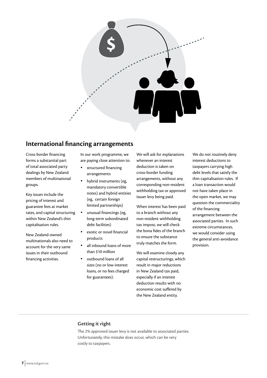

#### **International financing arrangements**

Cross-border financing forms a substantial part of total associated party dealings by New Zealand members of multinational groups.

Key issues include the pricing of interest and guarantee fees at market rates, and capital structuring within New Zealand's thin capitalisation rules.

New Zealand-owned multinationals also need to account for the very same issues in their outbound financing activities.

In our work programme, we are paying close attention to:

- structured financing arrangements
- hybrid instruments (eg, mandatory convertible notes) and hybrid entities (eg, certain foreign limited partnerships)
- unusual financings (eg, long-term subordinated debt facilities)
- exotic or novel financial products
- all inbound loans of more than \$10 million
- outbound loans of all sizes (no or low-interest loans, or no fees charged for guarantees).

We will ask for explanations whenever an interest deduction is taken on cross-border funding arrangements, without any corresponding non-resident withholding tax or approved issuer levy being paid.

When interest has been paid to a branch without any non-resident withholding tax impost, we will check the bona fides of the branch to ensure the substance truly matches the form.

We will examine closely any capital restructurings, which result in major reductions in New Zealand tax paid, especially if an interest deduction results with no economic cost suffered by the New Zealand entity.

We do not routinely deny interest deductions to taxpayers carrying high debt levels that satisfy the thin capitalisation rules. If a loan transaction would not have taken place in the open market, we may question the commerciality of the financing arrangement between the associated parties. In such extreme circumstances, we would consider using the general anti-avoidance provision.

#### **Getting it right**

The 2% approved issuer levy is not available to associated parties. Unfortunately, this mistake does occur, which can be very costly to taxpayers.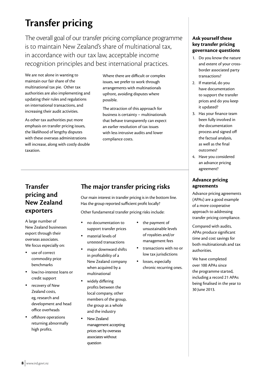## **Transfer pricing**

The overall goal of our transfer pricing compliance programme is to maintain New Zealand's share of multinational tax, in accordance with our tax law, acceptable income recognition principles and best international practices.

We are not alone in wanting to maintain our fair share of the multinational tax pie. Other tax authorities are also implementing and updating their rules and regulations on international transactions, and increasing their audit activities.

As other tax authorities put more emphasis on transfer pricing issues, the likelihood of lengthy disputes with these overseas administrations will increase, along with costly double taxation.

Where there are difficult or complex issues, we prefer to work through arrangements with multinationals upfront, avoiding disputes where possible.

The attraction of this approach for business is certainty – multinationals that behave transparently can expect an earlier resolution of tax issues with less intrusive audits and lower compliance costs.

#### **Transfer pricing and New Zealand exporters**

A large number of New Zealand businesses export through their overseas associates. We focus especially on:

- use of correct commodity price benchmarks
- low/no-interest loans or credit support
- recovery of New Zealand costs, eg, research and development and head office overheads
- offshore operations returning abnormally high profits.

#### **The major transfer pricing risks**

Our main interest in transfer pricing is in the bottom line. Has the group reported sufficient profit locally?

Other fundamental transfer pricing risks include:

- no documentation to support transfer prices
- material levels of untested transactions
- major downward shifts in profitability of a New Zealand company when acquired by a multinational
- widely differing profits between the local company, other members of the group, the group as a whole and the industry
- New Zealand management accepting prices set by overseas associates without question
- • the payment of unsustainable levels of royalties and/or management fees
- • transactions with no or low tax jurisdictions
- losses, especially chronic recurring ones.

#### **Ask yourself these key transfer pricing governance questions**

- 1. Do you know the nature and extent of your crossborder associated party transactions?
- 2. If material, do you have documentation to support the transfer prices and do you keep it updated?
- 3. Has your finance team been fully involved in the documentation process and signed off the factual analysis, as well as the final outcomes?
- 4. Have you considered an advance pricing agreement?

#### **Advance pricing agreements**

Advance pricing agreements (APAs) are a good example of a more cooperative approach to addressing transfer pricing compliance.

Compared with audits, APAs produce significant time and cost savings for both multinationals and tax authorities.

We have completed over 100 APAs since the programme started, including a record 21 APAs being finalised in the year to 30 June 2013.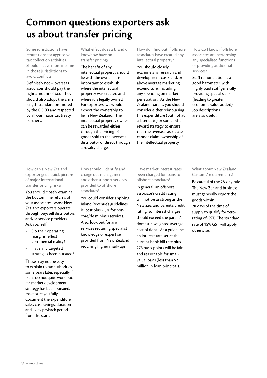## **Common questions exporters ask us about transfer pricing**

Some jurisdictions have reputations for aggressive tax collection activities. Should I leave more income in those jurisdictions to avoid conflict?

Definitely not – overseas associates should pay the right amount of tax. They should also adopt the arm's length standard promoted by the OECD and respected by all our major tax treaty partners.

What effect does a brand or knowhow have on transfer pricing?

The benefit of any intellectual property should lie with the owner. It is important to establish where the intellectual property was created and where it is legally owned. For exporters, we would expect the ownership to lie in New Zealand. The intellectual property owner can be rewarded either through the pricing of goods sold to the overseas distributor or direct through a royalty charge.

How do I find out if offshore associates have created any intellectual property?

You should closely examine any research and development costs and/or above average marketing expenditure, including any spending on market penetration. As the New Zealand parent, you should consider either reimbursing this expenditure (but not at a later date) or some other reward strategy to ensure that the overseas associate cannot claim ownership of the intellectual property.

How do I know if offshore associates are performing any specialised functions or providing additional services?

Staff remuneration is a good barometer, with highly paid staff generally providing special skills (leading to greater economic value added). Job descriptions are also useful.

How can a New Zealand exporter get a quick picture of major international transfer pricing risks?

You should closely examine the bottom line returns of your associates. Most New Zealand exporters operate through buy/sell distributors and/or service providers. Ask yourself:

- Do their operating margins reflect commercial reality?
- Have any targeted strategies been pursued?

These may not be easy to explain to tax authorities some years later, especially if plans do not quite work out. If a market development strategy has been pursued, make sure you fully document the expenditure, sales, cost savings, duration and likely payback period from the start.

How should I identify and charge out management and other support services provided to offshore associates?

You could consider applying Inland Revenue's guidelines, ie, cost plus 7.5% for noncore/de minimis services. Also, look out for any services requiring specialist knowledge or expertise provided from New Zealand requiring higher mark-ups.

Have market interest rates been charged for loans to offshore associates?

In general, an offshore associate's credit rating will not be as strong as the New Zealand parent's credit rating, so interest charges should exceed the parent's domestic weighted average cost of debt. As a guideline, an interest rate set at the current bank bill rate plus 275 basis points will be fair and reasonable for smallvalue loans (less than \$2 million in loan principal).

What about New Zealand Customs' requirements?

Be careful of the 28-day rule. The New Zealand business must generally export the goods within 28 days of the time of supply to qualify for zerorating of GST. The standard rate of 15% GST will apply otherwise.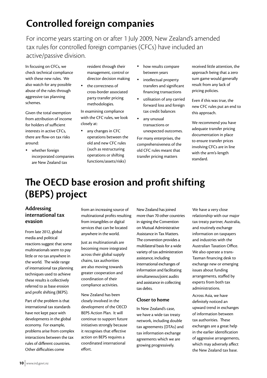## **Controlled foreign companies**

For income years starting on or after 1 July 2009, New Zealand's amended tax rules for controlled foreign companies (CFCs) have included an active/passive division.

In focusing on CFCs, we check technical compliance with these new rules. We also watch for any possible abuse of the rules through aggressive tax planning schemes.

Given the total exemption from attribution of income for holders of sufficient interests in active CFCs, there are flow-on tax risks around:

• whether foreign incorporated companies are New Zealand tax

resident through their management, control or director decision making

the correctness of cross-border associated party transfer pricing methodologies.

In examining compliance with the CFC rules, we look closely at:

any changes in CFC operations between the old and new CFC rules (such as restructuring operations or shifting functions/assets/risks)

- how results compare between years
- • intellectual property transfers and significant financing transactions
- • utilisation of any carried forward loss and foreign tax credit balances
- any unusual transactions or unexpected outcomes.

For many enterprises, the comprehensiveness of the old CFC rules meant that transfer pricing matters

received little attention, the approach being that a zero sum game would generally result from any lack of pricing policies.

Even if this was true, the new CFC rules put an end to this approach.

We recommend you have adequate transfer pricing documentation in place to ensure transfer prices involving CFCs are in line with the arm's-length standard.

## **The OECD base erosion and profit shifting (BEPS) project**

#### **Addressing international tax evasion**

From late 2012, global media and political reactions suggest that some multinationals seem to pay little or no tax anywhere in the world. The wide range of international tax planning techniques used to achieve these results is collectively referred to as base erosion and profit shifting (BEPS).

Part of the problem is that international tax standards have not kept pace with developments in the global economy. For example, problems arise from complex interactions between the tax rules of different countries. Other difficulties come

from an increasing source of multinational profits resulting from intangibles or digital services that can be located anywhere in the world.

Just as multinationals are becoming more integrated across their global supply chains, tax authorities are also moving towards greater cooperation and coordination of their compliance activities.

New Zealand has been closely involved in the development of the OECD BEPS Action Plan. It will continue to support future initiatives strongly because it recognises that effective action on BEPS requires a coordinated international effort.

New Zealand has joined more than 70 other countries in signing the Convention on Mutual Administrative Assistance in Tax Matters. The convention provides a multilateral basis for a wide variety of tax administration assistance, including international exchanges of information and facilitating simultaneous/joint audits and assistance in collecting tax debts.

#### **Closer to home**

In New Zealand's case, we have a wide tax treaty network, including double tax agreements (DTAs) and tax information exchange agreements which we are growing progressively.

We have a very close relationship with our major tax treaty partner, Australia, and routinely exchange information on taxpayers and industries with the Australian Taxation Office. We also operate a trans-Tasman financing desk to exchange new or emerging issues about funding arrangements, staffed by experts from both tax administrations.

Across Asia, we have definitely noticed an upward trend in exchanges of information between tax authorities. These exchanges are a great help in the earlier identification of aggressive arrangements, which may adversely affect the New Zealand tax base.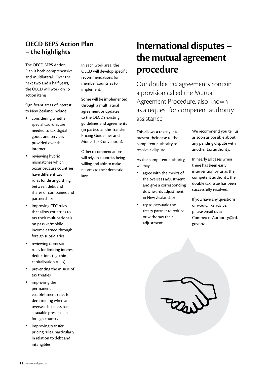#### **OECD BEPS Action Plan – the highlights**

The OECD BEPS Action Plan is both comprehensive and multilateral. Over the next two and a half years, the OECD will work on 15 action items.

Significant areas of interest to New Zealand include:

- • considering whether special tax rules are needed to tax digital goods and services provided over the internet
- reviewing hybrid mismatches which occur because countries have different tax rules for distinguishing between debt and shares or companies and partnerships
- improving CFC rules that allow countries to tax their multinationals on passive/mobile income earned through foreign subsidiaries
- reviewing domestic rules for limiting interest deductions (eg: thin capitalisation rules)
- preventing the misuse of tax treaties
- improving the permanent establishment rules for determining when an overseas business has a taxable presence in a foreign country
- improving transfer pricing rules, particularly in relation to debt and intangibles.

In each work area, the OECD will develop specific recommendations for member countries to implement.

Some will be implemented through a multilateral agreement or updates to the OECD's existing guidelines and agreements (in particular, the Transfer Pricing Guidelines and Model Tax Convention).

Other recommendations will rely on countries being willing and able to make reforms to their domestic laws.

## **International disputes – the mutual agreement procedure**

Our double tax agreements contain a provision called the Mutual Agreement Procedure, also known as a request for competent authority assistance.

This allows a taxpayer to present their case to the competent authority to resolve a dispute.

As the competent authority, we may:

- • agree with the merits of the overseas adjustment and give a corresponding downwards adjustment in New Zealand, or
- • try to persuade the treaty partner to reduce or withdraw their adjustment.

We recommend you tell us as soon as possible about any pending dispute with another tax authority.

In nearly all cases when there has been early intervention by us as the competent authority, the double tax issue has been successfully resolved.

If you have any questions or would like advice, please email us at CompetentAuthority@ird. govt.nz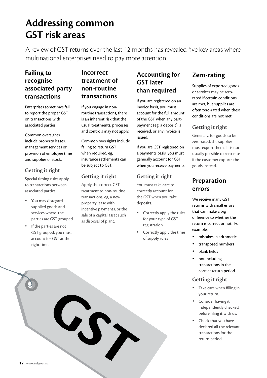## **Addressing common GST risk areas**

A review of GST returns over the last 12 months has revealed five key areas where multinational enterprises need to pay more attention.

#### **Failing to recognise associated party transactions**

Enterprises sometimes fail to report the proper GST on transactions with associated parties.

Common oversights include property leases, management services or provision of employee time and supplies of stock.

#### **Getting it right**

Special timing rules apply to transactions between associated parties.

- You may disregard supplied goods and services where the parties are GST grouped.
- If the parties are not GST grouped, you must account for GST at the right time.

#### **Incorrect treatment of non-routine transactions**

If you engage in nonroutine transactions, there is an inherent risk that the usual treatments, processes and controls may not apply.

Common oversights include failing to return GST when required, eg, insurance settlements can be subject to GST.

#### **Getting it right**

Apply the correct GST treatment to non-routine transactions, eg, a new property lease with incentive payments, or the sale of a capital asset such as disposal of plant.

#### **Accounting for GST later than required**

If you are registered on an invoice basis, you must account for the full amount of the GST when any partpayment (eg, a deposit) is received, or any invoice is issued.

If you are GST registered on a payments basis, you must generally account for GST when you receive payments.

#### **Getting it right**

You must take care to correctly account for the GST when you take deposits.

- Correctly apply the rules for your type of GST registration.
- Correctly apply the time of supply rules.

#### **Zero-rating**

Supplies of exported goods or services may be zerorated if certain conditions are met, but supplies are often zero-rated when these conditions are not met.

#### **Getting it right**

Generally, for goods to be zero-rated, the supplier must export them. It is not usually possible to zero-rate if the customer exports the goods instead.

#### **Preparation errors**

We receive many GST returns with small errors that can make a big difference to whether the return is correct or not. For example:

- mistakes in arithmetic
- transposed numbers
- blank fields
- not including transactions in the correct return period.

#### **Getting it right**

- Take care when filling in your return.
- Consider having it independently checked before filing it with us.
- Check that you have declared all the relevant transactions for the return period.

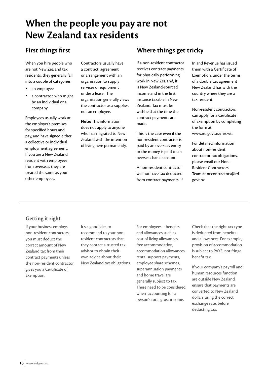## **When the people you pay are not New Zealand tax residents**

#### **First things first**

When you hire people who are not New Zealand tax residents, they generally fall into a couple of categories:

- an employee
- a contractor, who might be an individual or a company.

Employees usually work at the employer's premises for specified hours and pay, and have signed either a collective or individual employment agreement. If you are a New Zealand resident with employees from overseas, they are treated the same as your other employees.

Contractors usually have a contract, agreement or arrangement with an organisation to supply services or equipment under a lease. The organisation generally views the contractor as a supplier, not an employee.

**Note:** This information does not apply to anyone who has migrated to New Zealand with the intention of living here permanently.

#### **Where things get tricky**

If a non-resident contractor receives contract payments, for physically performing work in New Zealand, it is New Zealand-sourced income and in the first instance taxable in New Zealand. Tax must be withheld at the time the contract payments are made.

This is the case even if the non-resident contractor is paid by an overseas entity or the money is paid to an overseas bank account.

A non-resident contractor will not have tax deducted from contract payments if Inland Revenue has issued them with a Certificate of Exemption, under the terms of a double tax agreement New Zealand has with the country where they are a tax resident.

Non-resident contractors can apply for a Certificate of Exemption by completing the form at www.ird.govt.nz/nrcwt.

For detailed information about non-resident contractor tax obligations, please email our Non-Resident Contractors' Team at nr.contractors@ird. govt.nz

#### **Getting it right**

If your business employs non-resident contractors, you must deduct the correct amount of New Zealand tax from their contract payments unless the non-resident contractor gives you a Certificate of Exemption.

It's a good idea to recommend to your nonresident contractors that they contact a trusted tax advisor to obtain their own advice about their New Zealand tax obligations. For employees – benefits and allowances such as cost of living allowances, free accommodation, accommodation allowances, rental support payments, employee share schemes, superannuation payments and home travel are generally subject to tax. These need to be considered when accounting for a person's total gross income.

Check that the right tax type is deducted from benefits and allowances. For example, provision of accommodation is subject to PAYE, not fringe benefit tax.

If your company's payroll and human resources function are outside New Zealand, ensure that payments are converted to New Zealand dollars using the correct exchange rate, before deducting tax.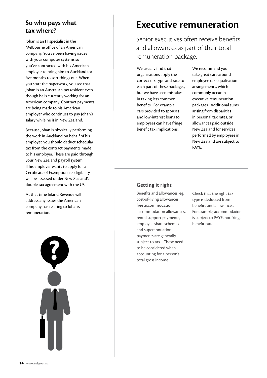#### **So who pays what tax where?**

Johan is an IT specialist in the Melbourne office of an American company. You've been having issues with your computer systems so you've contracted with his American employer to bring him to Auckland for five months to sort things out. When you start the paperwork, you see that Johan is an Australian tax resident even though he is currently working for an American company. Contract payments are being made to his American employer who continues to pay Johan's salary while he is in New Zealand.

Because Johan is physically performing the work in Auckland on behalf of his employer, you should deduct schedular tax from the contract payments made to his employer. These are paid through your New Zealand payroll system. If his employer wants to apply for a Certificate of Exemption, its eligibility will be assessed under New Zealand's double tax agreement with the US.

At that time Inland Revenue will address any issues the American company has relating to Johan's remuneration.



## **Executive remuneration**

Senior executives often receive benefits and allowances as part of their total remuneration package.

We usually find that organisations apply the correct tax type and rate to each part of these packages, but we have seen mistakes in taxing less common benefits. For example, cars provided to spouses and low-interest loans to employees can have fringe benefit tax implications.

We recommend you take great care around employee tax equalisation arrangements, which commonly occur in executive remuneration packages. Additional sums arising from disparities in personal tax rates, or allowances paid outside New Zealand for services performed by employees in New Zealand are subject to PAYE.

#### **Getting it right**

Benefits and allowances, eg, cost-of-living allowances, free accommodation, accommodation allowances, rental support payments, employee share schemes and superannuation payments are generally subject to tax. These need to be considered when accounting for a person's total gross income.

Check that the right tax type is deducted from benefits and allowances. For example, accommodation is subject to PAYE, not fringe benefit tax.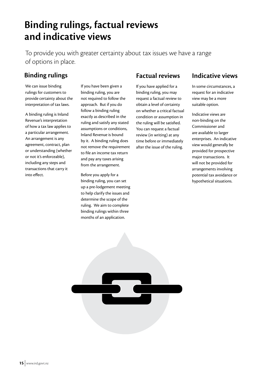## **Binding rulings, factual reviews and indicative views**

To provide you with greater certainty about tax issues we have a range of options in place.

#### **Binding rulings**

We can issue binding rulings for customers to provide certainty about the interpretation of tax laws.

A binding ruling is Inland Revenue's interpretation of how a tax law applies to a particular arrangement. An arrangement is any agreement, contract, plan or understanding (whether or not it's enforceable), including any steps and transactions that carry it into effect.

If you have been given a binding ruling, you are not required to follow the approach. But if you do follow a binding ruling exactly as described in the ruling and satisfy any stated assumptions or conditions, Inland Revenue is bound by it. A binding ruling does not remove the requirement to file an income tax return and pay any taxes arising from the arrangement.

Before you apply for a binding ruling, you can set up a pre-lodgement meeting to help clarify the issues and determine the scope of the ruling. We aim to complete binding rulings within three months of an application.

#### **Factual reviews**

If you have applied for a binding ruling, you may request a factual review to obtain a level of certainty on whether a critical factual condition or assumption in the ruling will be satisfied. You can request a factual review (in writing) at any time before or immediately after the issue of the ruling.

#### **Indicative views**

In some circumstances, a request for an indicative view may be a more suitable option.

Indicative views are non-binding on the Commissioner and are available to larger enterprises. An indicative view would generally be provided for prospective major transactions. It will not be provided for arrangements involving potential tax avoidance or hypothetical situations.

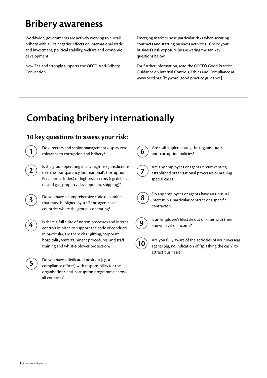## **Bribery awareness**

Worldwide, governments are actively working to curtail bribery with all its negative effects on international trade and investment, political stability, welfare and economic development.

New Zealand strongly supports the OECD Anti-Bribery Convention.

Emerging markets pose particular risks when securing contracts and starting business activities. Check your business's risk exposure by answering the ten key questions below.

For further information, read the OECD's Good Practice Guidance on Internal Controls, Ethics and Compliance at www.oecd.org [keyword: good practice guidance].

## **Combating bribery internationally**

#### **10 key questions to assess your risk:**

Do directors and senior management display zerotolerance to corruption and bribery?



**1**

**2** Is the group operating in any high-risk jurisdictions (see the Transparency International's Corruption Perceptions Index) or high-risk sectors (eg: defence, oil and gas, property development, shipping)?



**3** Do you have a comprehensive code of conduct that must be signed by staff and agents in all countries where the group is operating?



**4** Is there a full suite of system processes and internal controls in place to support the code of conduct? In particular, are there clear gifting/corporate hospitality/entertainment procedures, and staff training and whistle-blower protection?



**5** Do you have a dedicated position (eg, a<br>compliance officer) with responsibility for the organisation's anti-corruption programme across all countries?

**6** Are staff implementing the organisation's

 $\mathcal{T}\left( \mathcal{T}\right) \text{ }$  Are any employees or agents circumventing<br>established organisational processes or arguing

anti-corruption policies?

special cases?



**8** Do any employees or agents have an unusual interest in a particular contract or a specific contractor?



**9** Is an employee's lifestyle out of kilter with their known level of income?



**10** Are you fully aware of the activities of your overseas<br>**10** Are you for a point institution of "splotting the soah" to agents (eg, no indication of "splashing the cash" to attract business)?